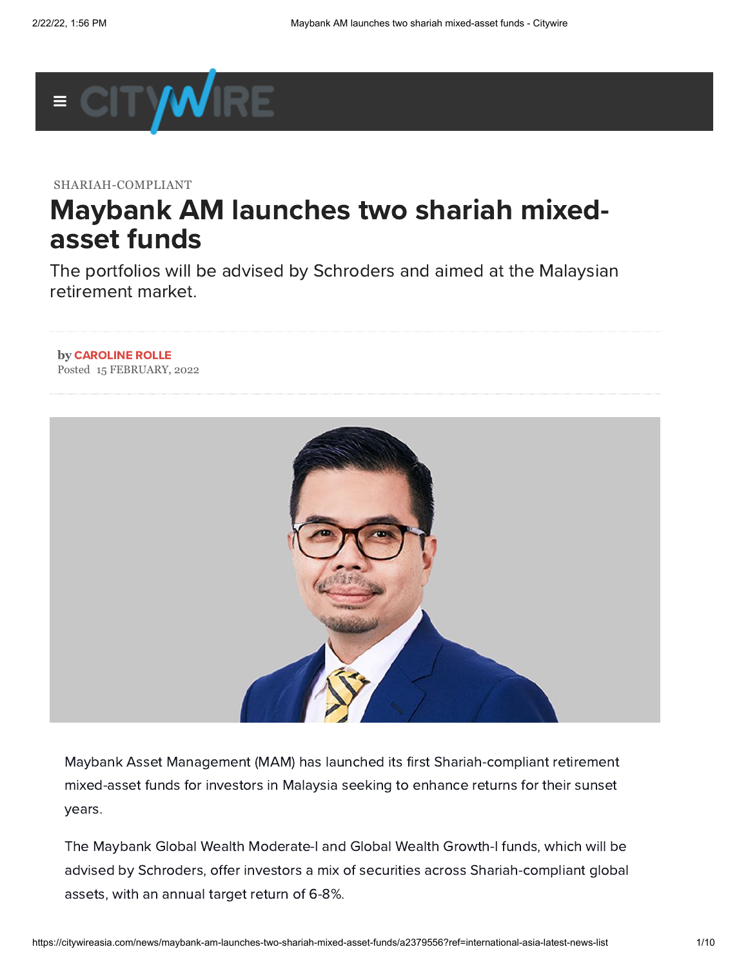

SHARIAH-COMPLIANT

## Maybank AM launches two shariah mixedasset funds

The portfolios will be advised by Schroders and aimed at the Malaysian retirement market.

## **by** [CAROLINE](https://citywireasia.com/author/crolle) ROLLE Posted 15 FEBRUARY, 2022



Maybank Asset Management (MAM) has launched its first Shariah-compliant retirement mixed-asset funds for investors in Malaysia seeking to enhance returns for their sunset years.

The Maybank Global Wealth Moderate-I and Global Wealth Growth-I funds, which will be advised by Schroders, offer investors a mix of securities across Shariah-compliant global assets, with an annual target return of 6-8%.